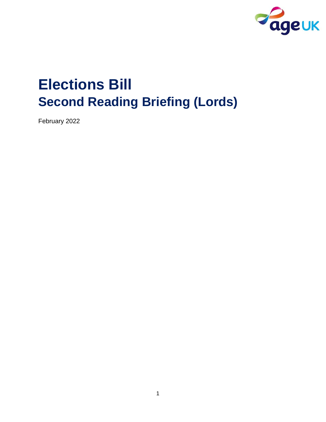

# **Elections Bill Second Reading Briefing (Lords)**

February 2022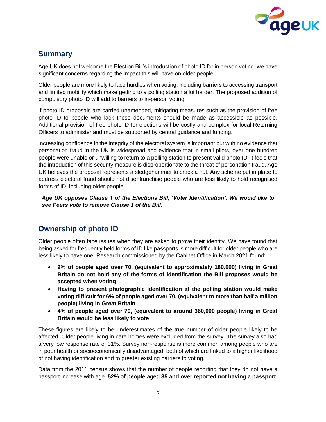

# **Summary**

Age UK does not welcome the Election Bill's introduction of photo ID for in person voting, we have significant concerns regarding the impact this will have on older people.

Older people are more likely to face hurdles when voting, including barriers to accessing transport and limited mobility which make getting to a polling station a lot harder. The proposed addition of compulsory photo ID will add to barriers to in-person voting.

If photo ID proposals are carried unamended, mitigating measures such as the provision of free photo ID to people who lack these documents should be made as accessible as possible. Additional provision of free photo ID for elections will be costly and complex for local Returning Officers to administer and must be supported by central guidance and funding.

Increasing confidence in the integrity of the electoral system is important but with no evidence that personation fraud in the UK is widespread and evidence that in small pilots, over one hundred people were unable or unwilling to return to a polling station to present valid photo ID, it feels that the introduction of this security measure is disproportionate to the threat of personation fraud. Age UK believes the proposal represents a sledgehammer to crack a nut. Any scheme put in place to address electoral fraud should not disenfranchise people who are less likely to hold recognised forms of ID, including older people.

*Age UK opposes Clause 1 of the Elections Bill, 'Voter Identification'. We would like to see Peers vote to remove Clause 1 of the Bill.* 

## **Ownership of photo ID**

Older people often face issues when they are asked to prove their identity. We have found that being asked for frequently held forms of ID like passports is more difficult for older people who are less likely to have one. Research commissioned by the Cabinet Office in March 2021 found:

- **2% of people aged over 70, (equivalent to approximately 180,000) living in Great Britain do not hold any of the forms of identification the Bill proposes would be accepted when voting**
- **Having to present photographic identification at the polling station would make voting difficult for 6% of people aged over 70, (equivalent to more than half a million people) living in Great Britain**
- **4% of people aged over 70, (equivalent to around 360,000 people) living in Great Britain would be less likely to vote**

These figures are likely to be underestimates of the true number of older people likely to be affected. Older people living in care homes were excluded from the survey. The survey also had a very low response rate of 31%. Survey non-response is more common among people who are in poor health or socioeconomically disadvantaged, both of which are linked to a higher likelihood of not having identification and to greater existing barriers to voting.

Data from the 2011 census shows that the number of people reporting that they do not have a passport increase with age. **52% of people aged 85 and over reported not having a passport.**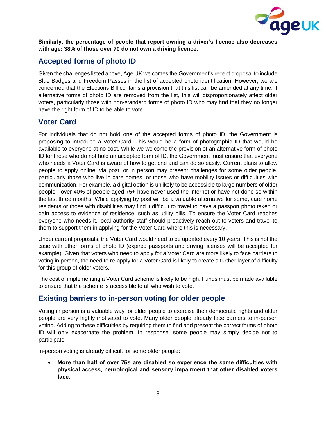

**Similarly, the percentage of people that report owning a driver's licence also decreases with age: 38% of those over 70 do not own a driving licence.**

## **Accepted forms of photo ID**

Given the challenges listed above, Age UK welcomes the Government's recent proposal to include Blue Badges and Freedom Passes in the list of accepted photo identification. However, we are concerned that the Elections Bill contains a provision that this list can be amended at any time. If alternative forms of photo ID are removed from the list, this will disproportionately affect older voters, particularly those with non-standard forms of photo ID who may find that they no longer have the right form of ID to be able to vote.

## **Voter Card**

For individuals that do not hold one of the accepted forms of photo ID, the Government is proposing to introduce a Voter Card. This would be a form of photographic ID that would be available to everyone at no cost. While we welcome the provision of an alternative form of photo ID for those who do not hold an accepted form of ID, the Government must ensure that everyone who needs a Voter Card is aware of how to get one and can do so easily. Current plans to allow people to apply online, via post, or in person may present challenges for some older people, particularly those who live in care homes, or those who have mobility issues or difficulties with communication. For example, a digital option is unlikely to be accessible to large numbers of older people - over 40% of people aged 75+ have never used the internet or have not done so within the last three months. While applying by post will be a valuable alternative for some, care home residents or those with disabilities may find it difficult to travel to have a passport photo taken or gain access to evidence of residence, such as utility bills. To ensure the Voter Card reaches everyone who needs it, local authority staff should proactively reach out to voters and travel to them to support them in applying for the Voter Card where this is necessary.

Under current proposals, the Voter Card would need to be updated every 10 years. This is not the case with other forms of photo ID (expired passports and driving licenses will be accepted for example). Given that voters who need to apply for a Voter Card are more likely to face barriers to voting in person, the need to re-apply for a Voter Card is likely to create a further layer of difficulty for this group of older voters.

The cost of implementing a Voter Card scheme is likely to be high. Funds must be made available to ensure that the scheme is accessible to all who wish to vote.

## **Existing barriers to in-person voting for older people**

Voting in person is a valuable way for older people to exercise their democratic rights and older people are very highly motivated to vote. Many older people already face barriers to in-person voting. Adding to these difficulties by requiring them to find and present the correct forms of photo ID will only exacerbate the problem. In response, some people may simply decide not to participate.

In-person voting is already difficult for some older people:

• **More than half of over 75s are disabled so experience the same difficulties with physical access, neurological and sensory impairment that other disabled voters face.**